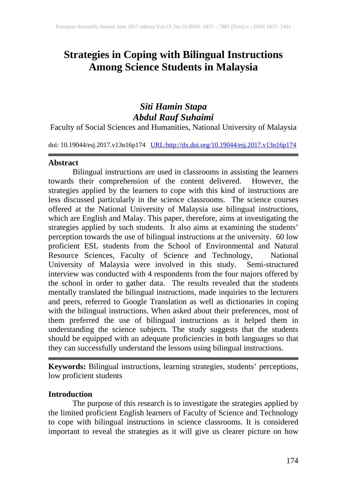# **Strategies in Coping with Bilingual Instructions Among Science Students in Malaysia**

## *Siti Hamin Stapa Abdul Rauf Suhaimi*

Faculty of Social Sciences and Humanities, National University of Malaysia

doi: 10.19044/esj.2017.v13n16p174 [URL:http://dx.doi.org/10.19044/esj.2017.v13n16p174](http://dx.doi.org/10.19044/esj.2017.v13n16p174)

#### **Abstract**

Bilingual instructions are used in classrooms in assisting the learners towards their comprehension of the content delivered. However, the strategies applied by the learners to cope with this kind of instructions are less discussed particularly in the science classrooms. The science courses offered at the National University of Malaysia use bilingual instructions, which are English and Malay. This paper, therefore, aims at investigating the strategies applied by such students. It also aims at examining the students' perception towards the use of bilingual instructions at the university. 60 low proficient ESL students from the School of Environmental and Natural Resource Sciences, Faculty of Science and Technology, National University of Malaysia were involved in this study. Semi-structured interview was conducted with 4 respondents from the four majors offered by the school in order to gather data. The results revealed that the students mentally translated the bilingual instructions, made inquiries to the lecturers and peers, referred to Google Translation as well as dictionaries in coping with the bilingual instructions. When asked about their preferences, most of them preferred the use of bilingual instructions as it helped them in understanding the science subjects. The study suggests that the students should be equipped with an adequate proficiencies in both languages so that they can successfully understand the lessons using bilingual instructions.

**Keywords:** Bilingual instructions, learning strategies, students' perceptions, low proficient students

#### **Introduction**

The purpose of this research is to investigate the strategies applied by the limited proficient English learners of Faculty of Science and Technology to cope with bilingual instructions in science classrooms. It is considered important to reveal the strategies as it will give us clearer picture on how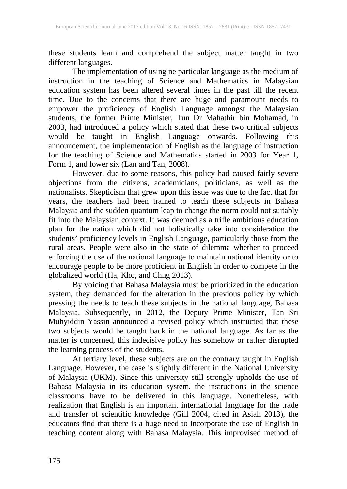these students learn and comprehend the subject matter taught in two different languages.

The implementation of using ne particular language as the medium of instruction in the teaching of Science and Mathematics in Malaysian education system has been altered several times in the past till the recent time. Due to the concerns that there are huge and paramount needs to empower the proficiency of English Language amongst the Malaysian students, the former Prime Minister, Tun Dr Mahathir bin Mohamad, in 2003, had introduced a policy which stated that these two critical subjects would be taught in English Language onwards. Following this announcement, the implementation of English as the language of instruction for the teaching of Science and Mathematics started in 2003 for Year 1, Form 1, and lower six (Lan and Tan, 2008).

However, due to some reasons, this policy had caused fairly severe objections from the citizens, academicians, politicians, as well as the nationalists. Skepticism that grew upon this issue was due to the fact that for years, the teachers had been trained to teach these subjects in Bahasa Malaysia and the sudden quantum leap to change the norm could not suitably fit into the Malaysian context. It was deemed as a trifle ambitious education plan for the nation which did not holistically take into consideration the students' proficiency levels in English Language, particularly those from the rural areas. People were also in the state of dilemma whether to proceed enforcing the use of the national language to maintain national identity or to encourage people to be more proficient in English in order to compete in the globalized world (Ha, Kho, and Chng 2013).

By voicing that Bahasa Malaysia must be prioritized in the education system, they demanded for the alteration in the previous policy by which pressing the needs to teach these subjects in the national language, Bahasa Malaysia. Subsequently, in 2012, the Deputy Prime Minister, Tan Sri Muhyiddin Yassin announced a revised policy which instructed that these two subjects would be taught back in the national language. As far as the matter is concerned, this indecisive policy has somehow or rather disrupted the learning process of the students.

At tertiary level, these subjects are on the contrary taught in English Language. However, the case is slightly different in the National University of Malaysia (UKM). Since this university still strongly upholds the use of Bahasa Malaysia in its education system, the instructions in the science classrooms have to be delivered in this language. Nonetheless, with realization that English is an important international language for the trade and transfer of scientific knowledge (Gill 2004, cited in Asiah 2013), the educators find that there is a huge need to incorporate the use of English in teaching content along with Bahasa Malaysia. This improvised method of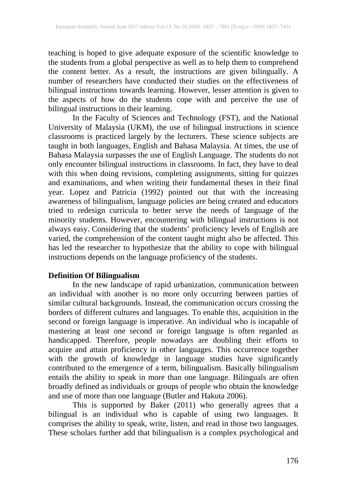teaching is hoped to give adequate exposure of the scientific knowledge to the students from a global perspective as well as to help them to comprehend the content better. As a result, the instructions are given bilingually. A number of researchers have conducted their studies on the effectiveness of bilingual instructions towards learning. However, lesser attention is given to the aspects of how do the students cope with and perceive the use of bilingual instructions in their learning.

In the Faculty of Sciences and Technology (FST), and the National University of Malaysia (UKM), the use of bilingual instructions in science classrooms is practiced largely by the lecturers. These science subjects are taught in both languages, English and Bahasa Malaysia. At times, the use of Bahasa Malaysia surpasses the use of English Language. The students do not only encounter bilingual instructions in classrooms. In fact, they have to deal with this when doing revisions, completing assignments, sitting for quizzes and examinations, and when writing their fundamental theses in their final year. Lopez and Patricia (1992) pointed out that with the increasing awareness of bilingualism, language policies are being created and educators tried to redesign curricula to better serve the needs of language of the minority students. However, encountering with bilingual instructions is not always easy. Considering that the students' proficiency levels of English are varied, the comprehension of the content taught might also be affected. This has led the researcher to hypothesize that the ability to cope with bilingual instructions depends on the language proficiency of the students.

### **Definition Of Bilingualism**

In the new landscape of rapid urbanization, communication between an individual with another is no more only occurring between parties of similar cultural backgrounds. Instead, the communication occurs crossing the borders of different cultures and languages. To enable this, acquisition in the second or foreign language is imperative. An individual who is incapable of mastering at least one second or foreign language is often regarded as handicapped. Therefore, people nowadays are doubling their efforts to acquire and attain proficiency in other languages. This occurrence together with the growth of knowledge in language studies have significantly contributed to the emergence of a term, bilingualism. Basically bilingualism entails the ability to speak in more than one language. Bilinguals are often broadly defined as individuals or groups of people who obtain the knowledge and use of more than one language (Butler and Hakuta 2006).

This is supported by Baker (2011) who generally agrees that a bilingual is an individual who is capable of using two languages. It comprises the ability to speak, write, listen, and read in those two languages. These scholars further add that bilingualism is a complex psychological and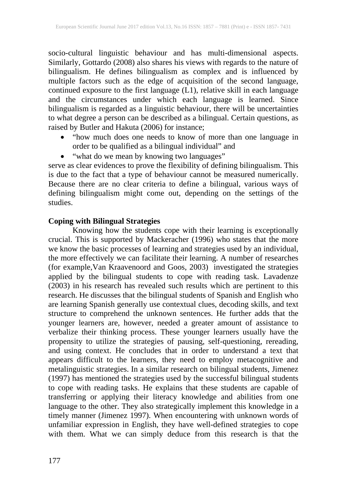socio-cultural linguistic behaviour and has multi-dimensional aspects. Similarly, Gottardo (2008) also shares his views with regards to the nature of bilingualism. He defines bilingualism as complex and is influenced by multiple factors such as the edge of acquisition of the second language, continued exposure to the first language (L1), relative skill in each language and the circumstances under which each language is learned. Since bilingualism is regarded as a linguistic behaviour, there will be uncertainties to what degree a person can be described as a bilingual. Certain questions, as raised by Butler and Hakuta (2006) for instance;

- "how much does one needs to know of more than one language in order to be qualified as a bilingual individual" and
- "what do we mean by knowing two languages"

serve as clear evidences to prove the flexibility of defining bilingualism. This is due to the fact that a type of behaviour cannot be measured numerically. Because there are no clear criteria to define a bilingual, various ways of defining bilingualism might come out, depending on the settings of the studies.

### **Coping with Bilingual Strategies**

Knowing how the students cope with their learning is exceptionally crucial. This is supported by Mackeracher (1996) who states that the more we know the basic processes of learning and strategies used by an individual, the more effectively we can facilitate their learning. A number of researches (for example,Van Kraavenoord and Goos, 2003) investigated the strategies applied by the bilingual students to cope with reading task. Lavadenze (2003) in his research has revealed such results which are pertinent to this research. He discusses that the bilingual students of Spanish and English who are learning Spanish generally use contextual clues, decoding skills, and text structure to comprehend the unknown sentences. He further adds that the younger learners are, however, needed a greater amount of assistance to verbalize their thinking process. These younger learners usually have the propensity to utilize the strategies of pausing, self-questioning, rereading, and using context. He concludes that in order to understand a text that appears difficult to the learners, they need to employ metacognitive and metalinguistic strategies. In a similar research on bilingual students, Jimenez (1997) has mentioned the strategies used by the successful bilingual students to cope with reading tasks. He explains that these students are capable of transferring or applying their literacy knowledge and abilities from one language to the other. They also strategically implement this knowledge in a timely manner (Jimenez 1997). When encountering with unknown words of unfamiliar expression in English, they have well-defined strategies to cope with them. What we can simply deduce from this research is that the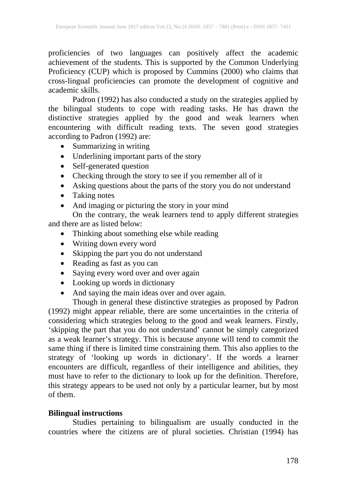proficiencies of two languages can positively affect the academic achievement of the students. This is supported by the Common Underlying Proficiency (CUP) which is proposed by Cummins (2000) who claims that cross-lingual proficiencies can promote the development of cognitive and academic skills.

Padron (1992) has also conducted a study on the strategies applied by the bilingual students to cope with reading tasks. He has drawn the distinctive strategies applied by the good and weak learners when encountering with difficult reading texts. The seven good strategies according to Padron (1992) are:

- Summarizing in writing
- Underlining important parts of the story
- Self-generated question
- Checking through the story to see if you remember all of it
- Asking questions about the parts of the story you do not understand
- Taking notes
- And imaging or picturing the story in your mind

On the contrary, the weak learners tend to apply different strategies and there are as listed below:

- Thinking about something else while reading
- Writing down every word
- Skipping the part you do not understand
- Reading as fast as you can
- Saying every word over and over again
- Looking up words in dictionary
- And saying the main ideas over and over again.

Though in general these distinctive strategies as proposed by Padron (1992) might appear reliable, there are some uncertainties in the criteria of considering which strategies belong to the good and weak learners. Firstly, 'skipping the part that you do not understand' cannot be simply categorized as a weak learner's strategy. This is because anyone will tend to commit the same thing if there is limited time constraining them. This also applies to the strategy of 'looking up words in dictionary'. If the words a learner encounters are difficult, regardless of their intelligence and abilities, they must have to refer to the dictionary to look up for the definition. Therefore, this strategy appears to be used not only by a particular learner, but by most of them.

### **Bilingual instructions**

Studies pertaining to bilingualism are usually conducted in the countries where the citizens are of plural societies. Christian (1994) has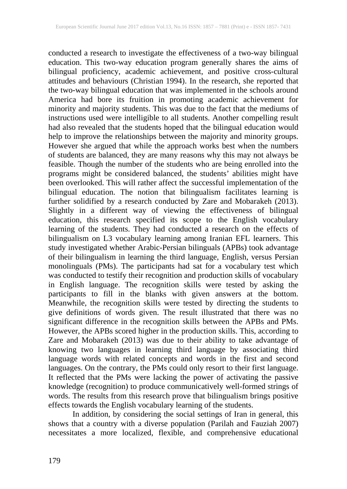conducted a research to investigate the effectiveness of a two-way bilingual education. This two-way education program generally shares the aims of bilingual proficiency, academic achievement, and positive cross-cultural attitudes and behaviours (Christian 1994). In the research, she reported that the two-way bilingual education that was implemented in the schools around America had bore its fruition in promoting academic achievement for minority and majority students. This was due to the fact that the mediums of instructions used were intelligible to all students. Another compelling result had also revealed that the students hoped that the bilingual education would help to improve the relationships between the majority and minority groups. However she argued that while the approach works best when the numbers of students are balanced, they are many reasons why this may not always be feasible. Though the number of the students who are being enrolled into the programs might be considered balanced, the students' abilities might have been overlooked. This will rather affect the successful implementation of the bilingual education. The notion that bilingualism facilitates learning is further solidified by a research conducted by Zare and Mobarakeh (2013). Slightly in a different way of viewing the effectiveness of bilingual education, this research specified its scope to the English vocabulary learning of the students. They had conducted a research on the effects of bilingualism on L3 vocabulary learning among Iranian EFL learners. This study investigated whether Arabic-Persian bilinguals (APBs) took advantage of their bilingualism in learning the third language, English, versus Persian monolinguals (PMs). The participants had sat for a vocabulary test which was conducted to testify their recognition and production skills of vocabulary in English language. The recognition skills were tested by asking the participants to fill in the blanks with given answers at the bottom. Meanwhile, the recognition skills were tested by directing the students to give definitions of words given. The result illustrated that there was no significant difference in the recognition skills between the APBs and PMs. However, the APBs scored higher in the production skills. This, according to Zare and Mobarakeh (2013) was due to their ability to take advantage of knowing two languages in learning third language by associating third language words with related concepts and words in the first and second languages. On the contrary, the PMs could only resort to their first language. It reflected that the PMs were lacking the power of activating the passive knowledge (recognition) to produce communicatively well-formed strings of words. The results from this research prove that bilingualism brings positive effects towards the English vocabulary learning of the students.

In addition, by considering the social settings of Iran in general, this shows that a country with a diverse population (Parilah and Fauziah 2007) necessitates a more localized, flexible, and comprehensive educational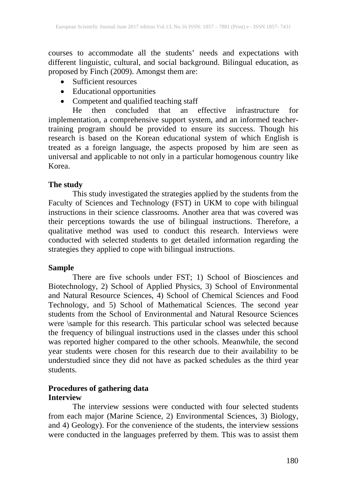courses to accommodate all the students' needs and expectations with different linguistic, cultural, and social background. Bilingual education, as proposed by Finch (2009). Amongst them are:

- Sufficient resources
- Educational opportunities
- Competent and qualified teaching staff

He then concluded that an effective infrastructure for implementation, a comprehensive support system, and an informed teachertraining program should be provided to ensure its success. Though his research is based on the Korean educational system of which English is treated as a foreign language, the aspects proposed by him are seen as universal and applicable to not only in a particular homogenous country like Korea.

#### **The study**

This study investigated the strategies applied by the students from the Faculty of Sciences and Technology (FST) in UKM to cope with bilingual instructions in their science classrooms. Another area that was covered was their perceptions towards the use of bilingual instructions. Therefore, a qualitative method was used to conduct this research. Interviews were conducted with selected students to get detailed information regarding the strategies they applied to cope with bilingual instructions.

#### **Sample**

There are five schools under FST; 1) School of Biosciences and Biotechnology, 2) School of Applied Physics, 3) School of Environmental and Natural Resource Sciences, 4) School of Chemical Sciences and Food Technology, and 5) School of Mathematical Sciences. The second year students from the School of Environmental and Natural Resource Sciences were \sample for this research. This particular school was selected because the frequency of bilingual instructions used in the classes under this school was reported higher compared to the other schools. Meanwhile, the second year students were chosen for this research due to their availability to be understudied since they did not have as packed schedules as the third year students.

### **Procedures of gathering data Interview**

The interview sessions were conducted with four selected students from each major (Marine Science, 2) Environmental Sciences, 3) Biology, and 4) Geology). For the convenience of the students, the interview sessions were conducted in the languages preferred by them. This was to assist them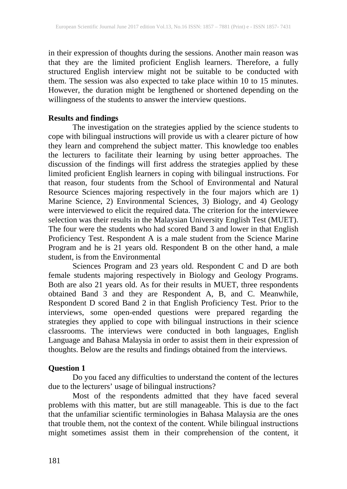in their expression of thoughts during the sessions. Another main reason was that they are the limited proficient English learners. Therefore, a fully structured English interview might not be suitable to be conducted with them. The session was also expected to take place within 10 to 15 minutes. However, the duration might be lengthened or shortened depending on the willingness of the students to answer the interview questions.

### **Results and findings**

The investigation on the strategies applied by the science students to cope with bilingual instructions will provide us with a clearer picture of how they learn and comprehend the subject matter. This knowledge too enables the lecturers to facilitate their learning by using better approaches. The discussion of the findings will first address the strategies applied by these limited proficient English learners in coping with bilingual instructions. For that reason, four students from the School of Environmental and Natural Resource Sciences majoring respectively in the four majors which are 1) Marine Science, 2) Environmental Sciences, 3) Biology, and 4) Geology were interviewed to elicit the required data. The criterion for the interviewee selection was their results in the Malaysian University English Test (MUET). The four were the students who had scored Band 3 and lower in that English Proficiency Test. Respondent A is a male student from the Science Marine Program and he is 21 years old. Respondent B on the other hand, a male student, is from the Environmental

Sciences Program and 23 years old. Respondent C and D are both female students majoring respectively in Biology and Geology Programs. Both are also 21 years old. As for their results in MUET, three respondents obtained Band 3 and they are Respondent A, B, and C. Meanwhile, Respondent D scored Band 2 in that English Proficiency Test. Prior to the interviews, some open-ended questions were prepared regarding the strategies they applied to cope with bilingual instructions in their science classrooms. The interviews were conducted in both languages, English Language and Bahasa Malaysia in order to assist them in their expression of thoughts. Below are the results and findings obtained from the interviews.

### **Question 1**

Do you faced any difficulties to understand the content of the lectures due to the lecturers' usage of bilingual instructions?

Most of the respondents admitted that they have faced several problems with this matter, but are still manageable. This is due to the fact that the unfamiliar scientific terminologies in Bahasa Malaysia are the ones that trouble them, not the context of the content. While bilingual instructions might sometimes assist them in their comprehension of the content, it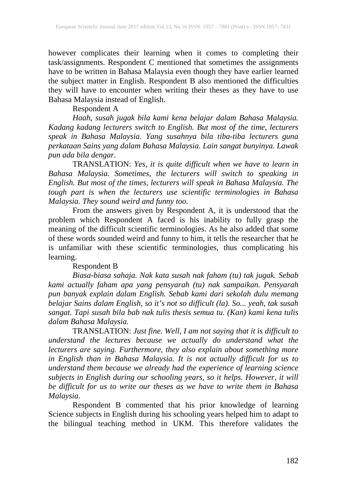however complicates their learning when it comes to completing their task/assignments. Respondent C mentioned that sometimes the assignments have to be written in Bahasa Malaysia even though they have earlier learned the subject matter in English. Respondent B also mentioned the difficulties they will have to encounter when writing their theses as they have to use Bahasa Malaysia instead of English.

### Respondent A

*Haah, susah jugak bila kami kena belajar dalam Bahasa Malaysia. Kadang kadang lecturers switch to English. But most of the time, lecturers speak in Bahasa Malaysia. Yang susahnya bila tiba-tiba lecturers guna perkataan Sains yang dalam Bahasa Malaysia. Lain sangat bunyinya. Lawak pun ada bila dengar.*

TRANSLATION: *Yes, it is quite difficult when we have to learn in Bahasa Malaysia. Sometimes, the lecturers will switch to speaking in English. But most of the times, lecturers will speak in Bahasa Malaysia. The tough part is when the lecturers use scientific terminologies in Bahasa Malaysia. They sound weird and funny too.*

From the answers given by Respondent A, it is understood that the problem which Respondent A faced is his inability to fully grasp the meaning of the difficult scientific terminologies. As he also added that some of these words sounded weird and funny to him, it tells the researcher that he is unfamiliar with these scientific terminologies, thus complicating his learning.

#### Respondent B

*Biasa-biasa sahaja. Nak kata susah nak faham (tu) tak jugak. Sebab kami actually faham apa yang pensyarah (tu) nak sampaikan. Pensyarah pun banyak explain dalam English. Sebab kami dari sekolah dulu memang belajar Sains dalam English, so it's not so difficult (la). So... yeah, tak susah sangat. Tapi susah bila bab nak tulis thesis semua tu. (Kan) kami kena tulis dalam Bahasa Malaysia.*

TRANSLATION: *Just fine. Well, I am not saying that it is difficult to understand the lectures because we actually do understand what the lecturers are saying. Furthermore, they also explain about something more in English than in Bahasa Malaysia. It is not actually difficult for us to understand them because we already had the experience of learning science subjects in English during our schooling years, so it helps. However, it will be difficult for us to write our theses as we have to write them in Bahasa Malaysia.*

Respondent B commented that his prior knowledge of learning Science subjects in English during his schooling years helped him to adapt to the bilingual teaching method in UKM. This therefore validates the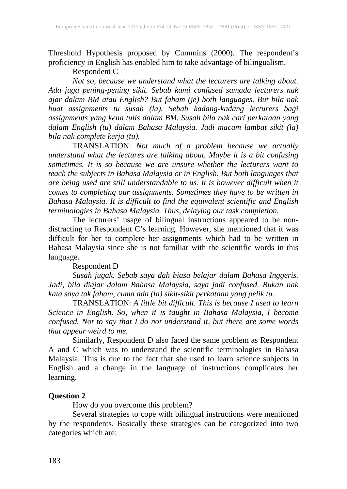Threshold Hypothesis proposed by Cummins (2000). The respondent's proficiency in English has enabled him to take advantage of bilingualism.

### Respondent C

*Not so, because we understand what the lecturers are talking about. Ada juga pening-pening sikit. Sebab kami confused samada lecturers nak ajar dalam BM atau English? But faham (je) both languages. But bila nak buat assignments tu susah (la). Sebab kadang-kadang lecturers bagi assignments yang kena tulis dalam BM. Susah bila nak cari perkataan yang dalam English (tu) dalam Bahasa Malaysia. Jadi macam lambat sikit (la) bila nak complete kerja (tu).*

TRANSLATION: *Not much of a problem because we actually understand what the lectures are talking about. Maybe it is a bit confusing sometimes. It is so because we are unsure whether the lecturers want to teach the subjects in Bahasa Malaysia or in English. But both languages that are being used are still understandable to us. It is however difficult when it comes to completing our assignments. Sometimes they have to be written in Bahasa Malaysia. It is difficult to find the equivalent scientific and English terminologies in Bahasa Malaysia. Thus, delaying our task completion.*

The lecturers' usage of bilingual instructions appeared to be nondistracting to Respondent C's learning. However, she mentioned that it was difficult for her to complete her assignments which had to be written in Bahasa Malaysia since she is not familiar with the scientific words in this language.

### Respondent D

*Susah jugak. Sebab saya dah biasa belajar dalam Bahasa Inggeris. Jadi, bila diajar dalam Bahasa Malaysia, saya jadi confused. Bukan nak kata saya tak faham, cuma ada (la) sikit-sikit perkataan yang pelik tu.*

TRANSLATION: *A little bit difficult. This is because I used to learn Science in English. So, when it is taught in Bahasa Malaysia, I become confused. Not to say that I do not understand it, but there are some words that appear weird to me.*

Similarly, Respondent D also faced the same problem as Respondent A and C which was to understand the scientific terminologies in Bahasa Malaysia. This is due to the fact that she used to learn science subjects in English and a change in the language of instructions complicates her learning.

#### **Question 2**

How do you overcome this problem?

Several strategies to cope with bilingual instructions were mentioned by the respondents. Basically these strategies can be categorized into two categories which are: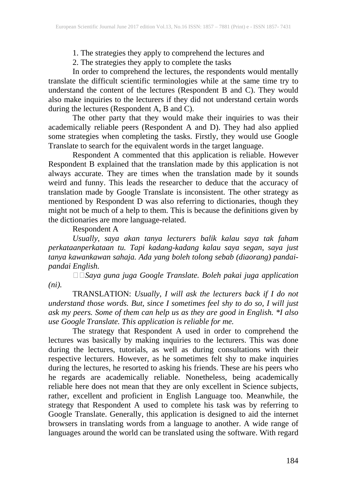1. The strategies they apply to comprehend the lectures and

2. The strategies they apply to complete the tasks

In order to comprehend the lectures, the respondents would mentally translate the difficult scientific terminologies while at the same time try to understand the content of the lectures (Respondent B and C). They would also make inquiries to the lecturers if they did not understand certain words during the lectures (Respondent A, B and C).

The other party that they would make their inquiries to was their academically reliable peers (Respondent A and D). They had also applied some strategies when completing the tasks. Firstly, they would use Google Translate to search for the equivalent words in the target language.

Respondent A commented that this application is reliable. However Respondent B explained that the translation made by this application is not always accurate. They are times when the translation made by it sounds weird and funny. This leads the researcher to deduce that the accuracy of translation made by Google Translate is inconsistent. The other strategy as mentioned by Respondent D was also referring to dictionaries, though they might not be much of a help to them. This is because the definitions given by the dictionaries are more language-related.

### Respondent A

*Usually, saya akan tanya lecturers balik kalau saya tak faham perkataanperkataan tu. Tapi kadang-kadang kalau saya segan, saya just tanya kawankawan sahaja. Ada yang boleh tolong sebab (diaorang) pandaipandai English.*

*Saya guna juga Google Translate. Boleh pakai juga application (ni).*

TRANSLATION: *Usually, I will ask the lecturers back if I do not understand those words. But, since I sometimes feel shy to do so, I will just ask my peers. Some of them can help us as they are good in English. \*I also use Google Translate. This application is reliable for me.*

The strategy that Respondent A used in order to comprehend the lectures was basically by making inquiries to the lecturers. This was done during the lectures, tutorials, as well as during consultations with their respective lecturers. However, as he sometimes felt shy to make inquiries during the lectures, he resorted to asking his friends. These are his peers who he regards are academically reliable. Nonetheless, being academically reliable here does not mean that they are only excellent in Science subjects, rather, excellent and proficient in English Language too. Meanwhile, the strategy that Respondent A used to complete his task was by referring to Google Translate. Generally, this application is designed to aid the internet browsers in translating words from a language to another. A wide range of languages around the world can be translated using the software. With regard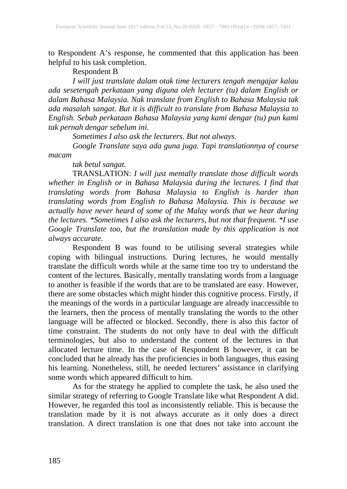to Respondent A's response, he commented that this application has been helpful to his task completion.

### Respondent B

*I will just translate dalam otak time lecturers tengah mengajar kalau ada sesetengah perkataan yang diguna oleh lecturer (tu) dalam English or dalam Bahasa Malaysia. Nak translate from English to Bahasa Malaysia tak ada masalah sangat. But it is difficult to translate from Bahasa Malaysia to English. Sebab perkataan Bahasa Malaysia yang kami dengar (tu) pun kami tak pernah dengar sebelum ini.*

*Sometimes I also ask the lecturers. But not always.*

*Google Translate saya ada guna juga. Tapi translationnya of course macam*

*tak betul sangat.*

TRANSLATION: *I will just mentally translate those difficult words whether in English or in Bahasa Malaysia during the lectures. I find that translating words from Bahasa Malaysia to English is harder than translating words from English to Bahasa Malaysia. This is because we actually have never heard of some of the Malay words that we hear during the lectures. \*Sometimes I also ask the lecturers, but not that frequent. \*I use Google Translate too, but the translation made by this application is not always accurate.*

Respondent B was found to be utilising several strategies while coping with bilingual instructions. During lectures, he would mentally translate the difficult words while at the same time too try to understand the content of the lectures. Basically, mentally translating words from a language to another is feasible if the words that are to be translated are easy. However, there are some obstacles which might hinder this cognitive process. Firstly, if the meanings of the words in a particular language are already inaccessible to the learners, then the process of mentally translating the words to the other language will be affected or blocked. Secondly, there is also this factor of time constraint. The students do not only have to deal with the difficult terminologies, but also to understand the content of the lectures in that allocated lecture time. In the case of Respondent B however, it can be concluded that he already has the proficiencies in both languages, thus easing his learning. Nonetheless, still, he needed lecturers' assistance in clarifying some words which appeared difficult to him.

As for the strategy he applied to complete the task, he also used the similar strategy of referring to Google Translate like what Respondent A did. However, he regarded this tool as inconsistently reliable. This is because the translation made by it is not always accurate as it only does a direct translation. A direct translation is one that does not take into account the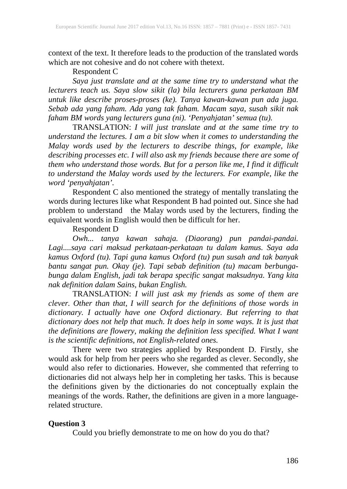context of the text. It therefore leads to the production of the translated words which are not cohesive and do not cohere with thetext.

### Respondent C

*Saya just translate and at the same time try to understand what the lecturers teach us. Saya slow sikit (la) bila lecturers guna perkataan BM untuk like describe proses-proses (ke). Tanya kawan-kawan pun ada juga. Sebab ada yang faham. Ada yang tak faham. Macam saya, susah sikit nak faham BM words yang lecturers guna (ni). 'Penyahjatan' semua (tu).*

TRANSLATION: *I will just translate and at the same time try to understand the lectures. I am a bit slow when it comes to understanding the Malay words used by the lecturers to describe things, for example, like describing processes etc. I will also ask my friends because there are some of them who understand those words. But for a person like me, I find it difficult to understand the Malay words used by the lecturers. For example, like the word 'penyahjatan'.*

Respondent C also mentioned the strategy of mentally translating the words during lectures like what Respondent B had pointed out. Since she had problem to understand the Malay words used by the lecturers, finding the equivalent words in English would then be difficult for her.

#### Respondent D

*Owh... tanya kawan sahaja. (Diaorang) pun pandai-pandai. Lagi....saya cari maksud perkataan-perkataan tu dalam kamus. Saya ada kamus Oxford (tu). Tapi guna kamus Oxford (tu) pun susah and tak banyak bantu sangat pun. Okay (je). Tapi sebab definition (tu) macam berbungabunga dalam English, jadi tak berapa specific sangat maksudnya. Yang kita nak definition dalam Sains, bukan English.*

TRANSLATION: *I will just ask my friends as some of them are clever. Other than that, I will search for the definitions of those words in dictionary. I actually have one Oxford dictionary. But referring to that dictionary does not help that much. It does help in some ways. It is just that the definitions are flowery, making the definition less specified. What I want is the scientific definitions, not English-related ones.*

There were two strategies applied by Respondent D. Firstly, she would ask for help from her peers who she regarded as clever. Secondly, she would also refer to dictionaries. However, she commented that referring to dictionaries did not always help her in completing her tasks. This is because the definitions given by the dictionaries do not conceptually explain the meanings of the words. Rather, the definitions are given in a more languagerelated structure.

#### **Question 3**

Could you briefly demonstrate to me on how do you do that?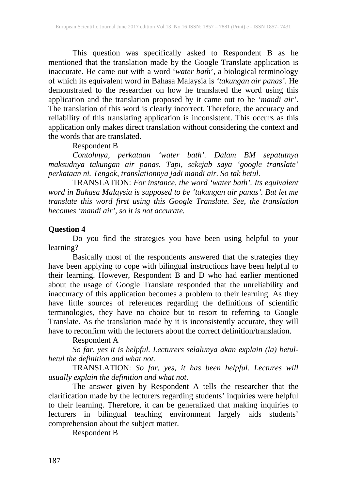This question was specifically asked to Respondent B as he mentioned that the translation made by the Google Translate application is inaccurate. He came out with a word '*water bath*', a biological terminology of which its equivalent word in Bahasa Malaysia is *'takungan air panas'*. He demonstrated to the researcher on how he translated the word using this application and the translation proposed by it came out to be *'mandi air'*. The translation of this word is clearly incorrect. Therefore, the accuracy and reliability of this translating application is inconsistent. This occurs as this application only makes direct translation without considering the context and the words that are translated.

Respondent B

*Contohnya, perkataan 'water bath'. Dalam BM sepatutnya maksudnya takungan air panas. Tapi, sekejab saya 'google translate' perkataan ni. Tengok, translationnya jadi mandi air. So tak betul.*

TRANSLATION: *For instance, the word 'water bath'. Its equivalent word in Bahasa Malaysia is supposed to be 'takungan air panas'. But let me translate this word first using this Google Translate. See, the translation becomes 'mandi air', so it is not accurate.*

#### **Question 4**

Do you find the strategies you have been using helpful to your learning?

Basically most of the respondents answered that the strategies they have been applying to cope with bilingual instructions have been helpful to their learning. However, Respondent B and D who had earlier mentioned about the usage of Google Translate responded that the unreliability and inaccuracy of this application becomes a problem to their learning. As they have little sources of references regarding the definitions of scientific terminologies, they have no choice but to resort to referring to Google Translate. As the translation made by it is inconsistently accurate, they will have to reconfirm with the lecturers about the correct definition/translation.

Respondent A

*So far, yes it is helpful. Lecturers selalunya akan explain (la) betulbetul the definition and what not.*

TRANSLATION: *So far, yes, it has been helpful. Lectures will usually explain the definition and what not.*

The answer given by Respondent A tells the researcher that the clarification made by the lecturers regarding students' inquiries were helpful to their learning. Therefore, it can be generalized that making inquiries to lecturers in bilingual teaching environment largely aids students' comprehension about the subject matter.

Respondent B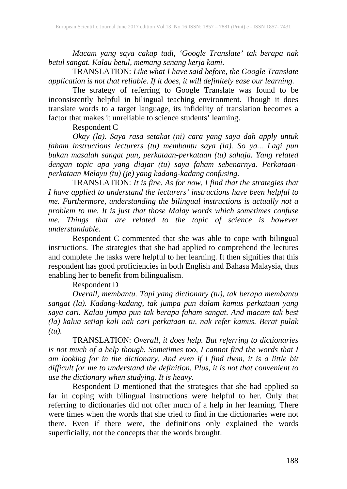*Macam yang saya cakap tadi, 'Google Translate' tak berapa nak betul sangat. Kalau betul, memang senang kerja kami.*

TRANSLATION: *Like what I have said before, the Google Translate application is not that reliable. If it does, it will definitely ease our learning.*

The strategy of referring to Google Translate was found to be inconsistently helpful in bilingual teaching environment. Though it does translate words to a target language, its infidelity of translation becomes a factor that makes it unreliable to science students' learning.

Respondent C

*Okay (la). Saya rasa setakat (ni) cara yang saya dah apply untuk faham instructions lecturers (tu) membantu saya (la). So ya... Lagi pun bukan masalah sangat pun, perkataan-perkataan (tu) sahaja. Yang related dengan topic apa yang diajar (tu) saya faham sebenarnya. Perkataanperkataan Melayu (tu) (je) yang kadang-kadang confusing.*

TRANSLATION: *It is fine. As for now, I find that the strategies that I have applied to understand the lecturers' instructions have been helpful to me. Furthermore, understanding the bilingual instructions is actually not a problem to me. It is just that those Malay words which sometimes confuse me. Things that are related to the topic of science is however understandable.*

Respondent C commented that she was able to cope with bilingual instructions. The strategies that she had applied to comprehend the lectures and complete the tasks were helpful to her learning. It then signifies that this respondent has good proficiencies in both English and Bahasa Malaysia, thus enabling her to benefit from bilingualism.

### Respondent D

*Overall, membantu. Tapi yang dictionary (tu), tak berapa membantu sangat (la). Kadang-kadang, tak jumpa pun dalam kamus perkataan yang saya cari. Kalau jumpa pun tak berapa faham sangat. And macam tak best (la) kalua setiap kali nak cari perkataan tu, nak refer kamus. Berat pulak (tu).*

TRANSLATION: *Overall, it does help. But referring to dictionaries is not much of a help though. Sometimes too, I cannot find the words that I am looking for in the dictionary. And even if I find them, it is a little bit difficult for me to understand the definition. Plus, it is not that convenient to use the dictionary when studying. It is heavy.*

Respondent D mentioned that the strategies that she had applied so far in coping with bilingual instructions were helpful to her. Only that referring to dictionaries did not offer much of a help in her learning. There were times when the words that she tried to find in the dictionaries were not there. Even if there were, the definitions only explained the words superficially, not the concepts that the words brought.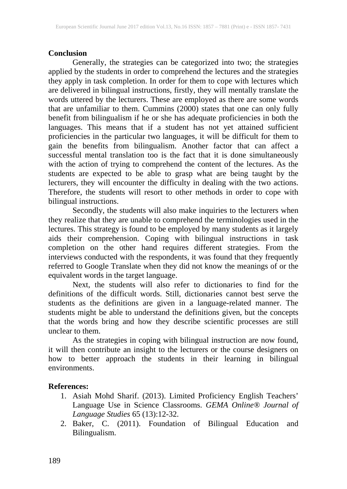### **Conclusion**

Generally, the strategies can be categorized into two; the strategies applied by the students in order to comprehend the lectures and the strategies they apply in task completion. In order for them to cope with lectures which are delivered in bilingual instructions, firstly, they will mentally translate the words uttered by the lecturers. These are employed as there are some words that are unfamiliar to them. Cummins (2000) states that one can only fully benefit from bilingualism if he or she has adequate proficiencies in both the languages. This means that if a student has not yet attained sufficient proficiencies in the particular two languages, it will be difficult for them to gain the benefits from bilingualism. Another factor that can affect a successful mental translation too is the fact that it is done simultaneously with the action of trying to comprehend the content of the lectures. As the students are expected to be able to grasp what are being taught by the lecturers, they will encounter the difficulty in dealing with the two actions. Therefore, the students will resort to other methods in order to cope with bilingual instructions.

Secondly, the students will also make inquiries to the lecturers when they realize that they are unable to comprehend the terminologies used in the lectures. This strategy is found to be employed by many students as it largely aids their comprehension. Coping with bilingual instructions in task completion on the other hand requires different strategies. From the interviews conducted with the respondents, it was found that they frequently referred to Google Translate when they did not know the meanings of or the equivalent words in the target language.

Next, the students will also refer to dictionaries to find for the definitions of the difficult words. Still, dictionaries cannot best serve the students as the definitions are given in a language-related manner. The students might be able to understand the definitions given, but the concepts that the words bring and how they describe scientific processes are still unclear to them.

As the strategies in coping with bilingual instruction are now found, it will then contribute an insight to the lecturers or the course designers on how to better approach the students in their learning in bilingual environments.

### **References:**

- 1. Asiah Mohd Sharif. (2013). Limited Proficiency English Teachers' Language Use in Science Classrooms. *GEMA Online® Journal of Language Studies* 65 (13):12-32.
- 2. Baker, C. (2011). Foundation of Bilingual Education and Bilingualism.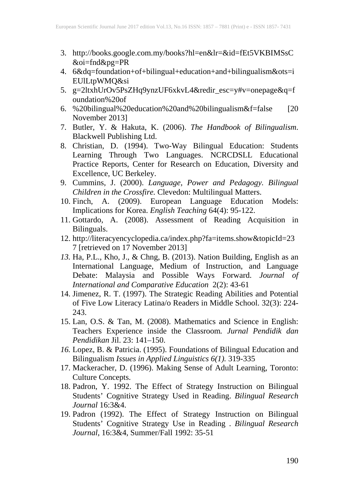- 3. http://books.google.com.my/books?hl=en&lr=&id=fEt5VKBIMSsC &oi=fnd&pg=PR
- 4. 6&dq=foundation+of+bilingual+education+and+bilingualism&ots=i EUlLtpWMQ&si
- 5. g=2ltxhUrOv5PsZHq9ynzUF6xkvL4&redir\_esc=y#v=onepage&q=f oundation%20of
- 6. %20bilingual%20education%20and%20bilingualism&f=false [20 November 2013]
- 7. Butler, Y. & Hakuta, K. (2006). *The Handbook of Bilingualism*. Blackwell Publishing Ltd.
- 8. Christian, D. (1994). Two-Way Bilingual Education: Students Learning Through Two Languages. NCRCDSLL Educational Practice Reports, Center for Research on Education, Diversity and Excellence, UC Berkeley.
- 9. Cummins, J. (2000). *Language, Power and Pedagogy. Bilingual Children in the Crossfire.* Clevedon: Multilingual Matters.
- 10. Finch, A. (2009). European Language Education Models: Implications for Korea. *English Teaching* 64(4): 95-122.
- 11. Gottardo, A. (2008). Assessment of Reading Acquisition in Bilinguals.
- 12. http://literacyencyclopedia.ca/index.php?fa=items.show&topicId=23 7 [retrieved on 17 November 2013]
- *13.* Ha, P.L., Kho, J., & Chng, B. (2013). Nation Building, English as an International Language, Medium of Instruction, and Language Debate: Malaysia and Possible Ways Forward. *Journal of International and Comparative Education* 2(2): 43-61
- 14. Jimenez, R. T. (1997). The Strategic Reading Abilities and Potential of Five Low Literacy Latina/o Readers in Middle School. 32(3): 224- 243.
- 15. Lan, O.S. & Tan, M. (2008). Mathematics and Science in English: Teachers Experience inside the Classroom*. Jurnal Pendidik dan Pendidikan* Jil. 23: 141–150.
- *16.* Lopez, B. & Patricia. (1995). Foundations of Bilingual Education and Bilingualism *Issues in Applied Linguistics 6(1).* 319-335
- 17. Mackeracher, D. (1996). Making Sense of Adult Learning, Toronto: Culture Concepts.
- 18. Padron, Y. 1992. The Effect of Strategy Instruction on Bilingual Students' Cognitive Strategy Used in Reading. *Bilingual Research Journal* 16:3&4.
- 19. Padron (1992). The Effect of Strategy Instruction on Bilingual Students' Cognitive Strategy Use in Reading . *Bilingual Research Journal*, 16:3&4, Summer/Fall 1992: 35-51